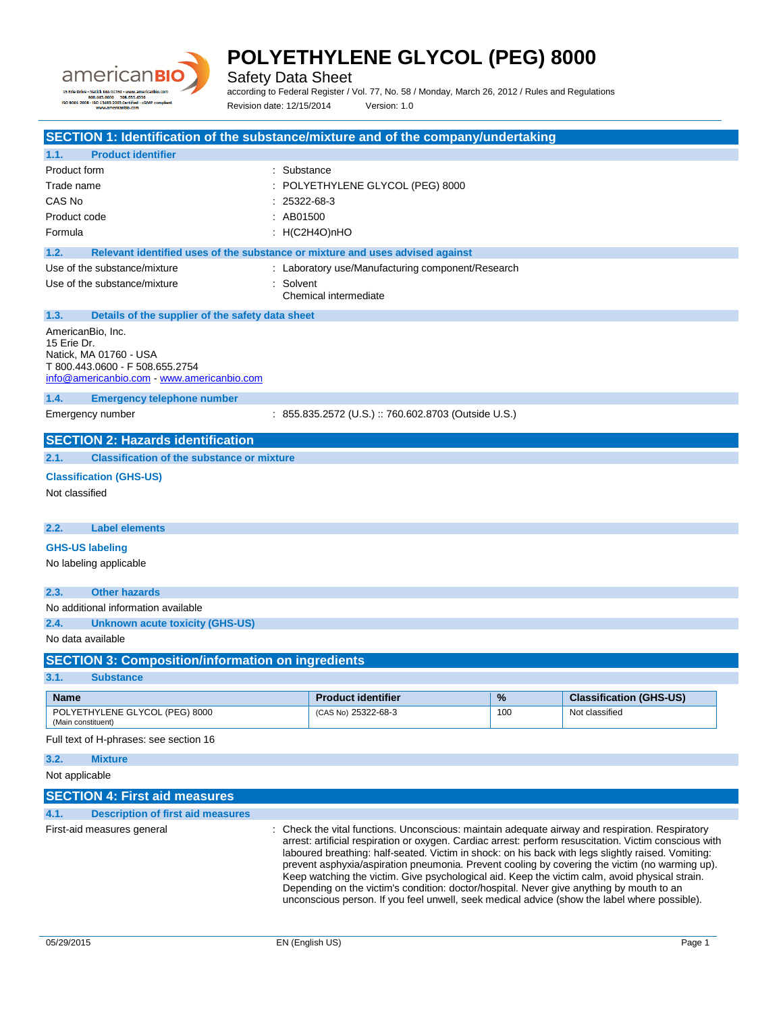

÷.

# **POLYETHYLENE GLYCOL (PEG) 8000**

Safety Data Sheet

according to Federal Register / Vol. 77, No. 58 / Monday, March 26, 2012 / Rules and Regulations Revision date: 12/15/2014 Version: 1.0

| SECTION 1: Identification of the substance/mixture and of the company/undertaking     |             |                                                                                                                                                                                                  |      |                                |
|---------------------------------------------------------------------------------------|-------------|--------------------------------------------------------------------------------------------------------------------------------------------------------------------------------------------------|------|--------------------------------|
| <b>Product identifier</b><br>1.1.                                                     |             |                                                                                                                                                                                                  |      |                                |
| Product form                                                                          | : Substance |                                                                                                                                                                                                  |      |                                |
| Trade name                                                                            |             | POLYETHYLENE GLYCOL (PEG) 8000                                                                                                                                                                   |      |                                |
| CAS No                                                                                | 25322-68-3  |                                                                                                                                                                                                  |      |                                |
| Product code                                                                          | : AB01500   |                                                                                                                                                                                                  |      |                                |
| Formula                                                                               |             | : $H(C2H4O)nHO$                                                                                                                                                                                  |      |                                |
| 1.2.<br>Relevant identified uses of the substance or mixture and uses advised against |             |                                                                                                                                                                                                  |      |                                |
| Use of the substance/mixture                                                          |             | : Laboratory use/Manufacturing component/Research                                                                                                                                                |      |                                |
| Use of the substance/mixture                                                          | : Solvent   |                                                                                                                                                                                                  |      |                                |
|                                                                                       |             | Chemical intermediate                                                                                                                                                                            |      |                                |
| 1.3.<br>Details of the supplier of the safety data sheet                              |             |                                                                                                                                                                                                  |      |                                |
| AmericanBio, Inc.                                                                     |             |                                                                                                                                                                                                  |      |                                |
| 15 Erie Dr.                                                                           |             |                                                                                                                                                                                                  |      |                                |
| Natick, MA 01760 - USA<br>T 800.443.0600 - F 508.655.2754                             |             |                                                                                                                                                                                                  |      |                                |
| info@americanbio.com www.americanbio.com                                              |             |                                                                                                                                                                                                  |      |                                |
| 1.4.<br><b>Emergency telephone number</b>                                             |             |                                                                                                                                                                                                  |      |                                |
| Emergency number                                                                      |             | : 855.835.2572 (U.S.) :: 760.602.8703 (Outside U.S.)                                                                                                                                             |      |                                |
|                                                                                       |             |                                                                                                                                                                                                  |      |                                |
| <b>SECTION 2: Hazards identification</b>                                              |             |                                                                                                                                                                                                  |      |                                |
| <b>Classification of the substance or mixture</b><br>2.1.                             |             |                                                                                                                                                                                                  |      |                                |
| <b>Classification (GHS-US)</b>                                                        |             |                                                                                                                                                                                                  |      |                                |
| Not classified                                                                        |             |                                                                                                                                                                                                  |      |                                |
|                                                                                       |             |                                                                                                                                                                                                  |      |                                |
| 2.2.<br><b>Label elements</b>                                                         |             |                                                                                                                                                                                                  |      |                                |
| <b>GHS-US labeling</b>                                                                |             |                                                                                                                                                                                                  |      |                                |
| No labeling applicable                                                                |             |                                                                                                                                                                                                  |      |                                |
|                                                                                       |             |                                                                                                                                                                                                  |      |                                |
| <b>Other hazards</b><br>2.3.                                                          |             |                                                                                                                                                                                                  |      |                                |
| No additional information available                                                   |             |                                                                                                                                                                                                  |      |                                |
| 2.4.<br><b>Unknown acute toxicity (GHS-US)</b>                                        |             |                                                                                                                                                                                                  |      |                                |
| No data available                                                                     |             |                                                                                                                                                                                                  |      |                                |
| <b>SECTION 3: Composition/information on ingredients</b>                              |             |                                                                                                                                                                                                  |      |                                |
| 3.1.<br><b>Substance</b>                                                              |             |                                                                                                                                                                                                  |      |                                |
| Name                                                                                  |             | <b>Product identifier</b>                                                                                                                                                                        | $\%$ | <b>Classification (GHS-US)</b> |
| POLYETHYLENE GLYCOL (PEG) 8000                                                        |             | (CAS No) 25322-68-3                                                                                                                                                                              | 100  | Not classified                 |
| (Main constituent)                                                                    |             |                                                                                                                                                                                                  |      |                                |
| Full text of H-phrases: see section 16                                                |             |                                                                                                                                                                                                  |      |                                |
| 3.2.<br><b>Mixture</b>                                                                |             |                                                                                                                                                                                                  |      |                                |
| Not applicable                                                                        |             |                                                                                                                                                                                                  |      |                                |
| <b>SECTION 4: First aid measures</b>                                                  |             |                                                                                                                                                                                                  |      |                                |
| 4.1.<br><b>Description of first aid measures</b>                                      |             |                                                                                                                                                                                                  |      |                                |
| First-aid measures general                                                            |             | : Check the vital functions. Unconscious: maintain adequate airway and respiration. Respiratory                                                                                                  |      |                                |
|                                                                                       |             | arrest: artificial respiration or oxygen. Cardiac arrest: perform resuscitation. Victim conscious with                                                                                           |      |                                |
|                                                                                       |             | laboured breathing: half-seated. Victim in shock: on his back with legs slightly raised. Vomiting:                                                                                               |      |                                |
|                                                                                       |             | prevent asphyxia/aspiration pneumonia. Prevent cooling by covering the victim (no warming up).<br>Keep watching the victim. Give psychological aid. Keep the victim calm, avoid physical strain. |      |                                |
|                                                                                       |             | Depending on the victim's condition: doctor/hospital. Never give anything by mouth to an                                                                                                         |      |                                |
|                                                                                       |             | unconscious person. If you feel unwell, seek medical advice (show the label where possible).                                                                                                     |      |                                |
|                                                                                       |             |                                                                                                                                                                                                  |      |                                |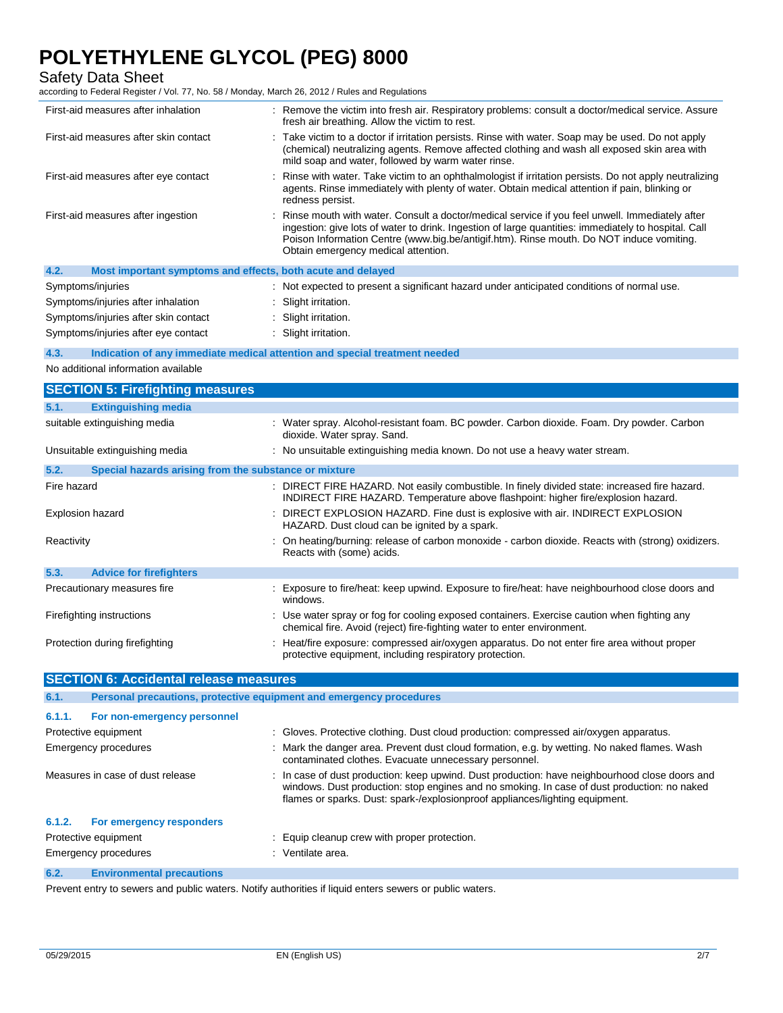Safety Data Sheet

according to Federal Register / Vol. 77, No. 58 / Monday, March 26, 2012 / Rules and Regulations

| First-aid measures after inhalation                                 | : Remove the victim into fresh air. Respiratory problems: consult a doctor/medical service. Assure<br>fresh air breathing. Allow the victim to rest.                                                                                                                                                                                        |
|---------------------------------------------------------------------|---------------------------------------------------------------------------------------------------------------------------------------------------------------------------------------------------------------------------------------------------------------------------------------------------------------------------------------------|
| First-aid measures after skin contact                               | Take victim to a doctor if irritation persists. Rinse with water. Soap may be used. Do not apply<br>(chemical) neutralizing agents. Remove affected clothing and wash all exposed skin area with<br>mild soap and water, followed by warm water rinse.                                                                                      |
| First-aid measures after eye contact                                | : Rinse with water. Take victim to an ophthalmologist if irritation persists. Do not apply neutralizing<br>agents. Rinse immediately with plenty of water. Obtain medical attention if pain, blinking or<br>redness persist.                                                                                                                |
| First-aid measures after ingestion                                  | : Rinse mouth with water. Consult a doctor/medical service if you feel unwell. Immediately after<br>ingestion: give lots of water to drink. Ingestion of large quantities: immediately to hospital. Call<br>Poison Information Centre (www.big.be/antigif.htm). Rinse mouth. Do NOT induce vomiting.<br>Obtain emergency medical attention. |
| 4.2.<br>Most important symptoms and effects, both acute and delayed |                                                                                                                                                                                                                                                                                                                                             |
| Symptoms/injuries                                                   | : Not expected to present a significant hazard under anticipated conditions of normal use.                                                                                                                                                                                                                                                  |
| Symptoms/injuries after inhalation                                  | : Slight irritation.                                                                                                                                                                                                                                                                                                                        |
| Symptoms/injuries after skin contact                                | : Slight irritation.                                                                                                                                                                                                                                                                                                                        |
| Symptoms/injuries after eye contact                                 | : Slight irritation.                                                                                                                                                                                                                                                                                                                        |
|                                                                     |                                                                                                                                                                                                                                                                                                                                             |

#### **4.3. Indication of any immediate medical attention and special treatment needed**

No additional information available

|                  | <b>SECTION 5: Firefighting measures</b>               |                                                                                                                                                                                    |  |
|------------------|-------------------------------------------------------|------------------------------------------------------------------------------------------------------------------------------------------------------------------------------------|--|
| 5.1.             | <b>Extinguishing media</b>                            |                                                                                                                                                                                    |  |
|                  | suitable extinguishing media                          | : Water spray. Alcohol-resistant foam. BC powder. Carbon dioxide. Foam. Dry powder. Carbon<br>dioxide. Water spray. Sand.                                                          |  |
|                  | Unsuitable extinguishing media                        | : No unsuitable extinguishing media known. Do not use a heavy water stream.                                                                                                        |  |
| 5.2.             | Special hazards arising from the substance or mixture |                                                                                                                                                                                    |  |
| Fire hazard      |                                                       | : DIRECT FIRE HAZARD. Not easily combustible. In finely divided state: increased fire hazard.<br>INDIRECT FIRE HAZARD. Temperature above flashpoint: higher fire/explosion hazard. |  |
| Explosion hazard |                                                       | : DIRECT EXPLOSION HAZARD. Fine dust is explosive with air. INDIRECT EXPLOSION<br>HAZARD. Dust cloud can be ignited by a spark.                                                    |  |
| Reactivity       |                                                       | : On heating/burning: release of carbon monoxide - carbon dioxide. Reacts with (strong) oxidizers.<br>Reacts with (some) acids.                                                    |  |
| 5.3.             | <b>Advice for firefighters</b>                        |                                                                                                                                                                                    |  |
|                  | Precautionary measures fire                           | : Exposure to fire/heat: keep upwind. Exposure to fire/heat: have neighbourhood close doors and<br>windows.                                                                        |  |
|                  | Firefighting instructions                             | : Use water spray or fog for cooling exposed containers. Exercise caution when fighting any<br>chemical fire. Avoid (reject) fire-fighting water to enter environment.             |  |
|                  | Protection during firefighting                        | : Heat/fire exposure: compressed air/oxygen apparatus. Do not enter fire area without proper<br>protective equipment, including respiratory protection.                            |  |

|                      | <b>SECTION 6: Accidental release measures</b>                       |  |                                                                                                                                                                                                                                                                               |  |
|----------------------|---------------------------------------------------------------------|--|-------------------------------------------------------------------------------------------------------------------------------------------------------------------------------------------------------------------------------------------------------------------------------|--|
| 6.1.                 | Personal precautions, protective equipment and emergency procedures |  |                                                                                                                                                                                                                                                                               |  |
| 6.1.1.               | For non-emergency personnel                                         |  |                                                                                                                                                                                                                                                                               |  |
| Protective equipment |                                                                     |  | : Gloves. Protective clothing. Dust cloud production: compressed air/oxygen apparatus.                                                                                                                                                                                        |  |
|                      | <b>Emergency procedures</b>                                         |  | : Mark the danger area. Prevent dust cloud formation, e.g. by wetting. No naked flames. Wash<br>contaminated clothes. Evacuate unnecessary personnel.                                                                                                                         |  |
|                      | Measures in case of dust release                                    |  | : In case of dust production: keep upwind. Dust production: have neighbourhood close doors and<br>windows. Dust production: stop engines and no smoking. In case of dust production: no naked<br>flames or sparks. Dust: spark-/explosionproof appliances/lighting equipment. |  |
| 6.1.2.               | For emergency responders                                            |  |                                                                                                                                                                                                                                                                               |  |
| Protective equipment |                                                                     |  | : Equip cleanup crew with proper protection.                                                                                                                                                                                                                                  |  |
|                      | <b>Emergency procedures</b>                                         |  | : Ventilate area.                                                                                                                                                                                                                                                             |  |
| 6.2.                 | <b>Environmental precautions</b>                                    |  |                                                                                                                                                                                                                                                                               |  |
|                      |                                                                     |  |                                                                                                                                                                                                                                                                               |  |

Prevent entry to sewers and public waters. Notify authorities if liquid enters sewers or public waters.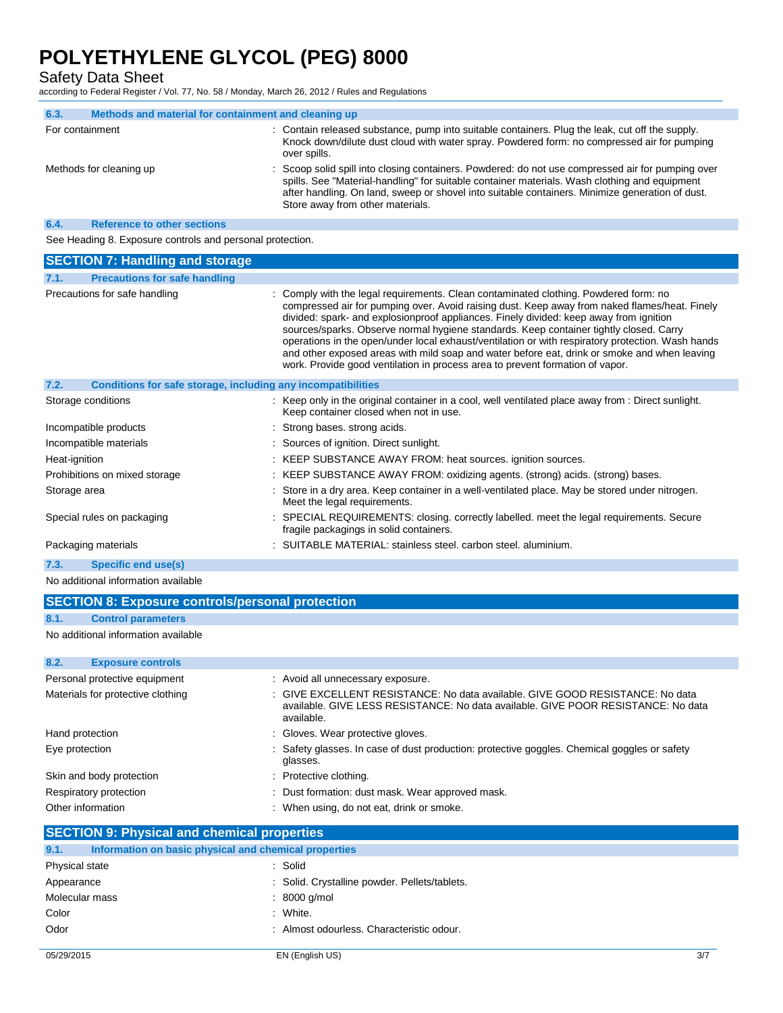Safety Data Sheet

according to Federal Register / Vol. 77, No. 58 / Monday, March 26, 2012 / Rules and Regulations

| 6.3.                    | Methods and material for containment and cleaning up |                                                                                                                                                                                                                                                                                                                                           |
|-------------------------|------------------------------------------------------|-------------------------------------------------------------------------------------------------------------------------------------------------------------------------------------------------------------------------------------------------------------------------------------------------------------------------------------------|
| For containment         |                                                      | : Contain released substance, pump into suitable containers. Plug the leak, cut off the supply.<br>Knock down/dilute dust cloud with water spray. Powdered form: no compressed air for pumping<br>over spills.                                                                                                                            |
| Methods for cleaning up |                                                      | : Scoop solid spill into closing containers. Powdered: do not use compressed air for pumping over<br>spills. See "Material-handling" for suitable container materials. Wash clothing and equipment<br>after handling. On land, sweep or shovel into suitable containers. Minimize generation of dust.<br>Store away from other materials. |
| 6.4.                    | <b>Reference to other sections</b>                   |                                                                                                                                                                                                                                                                                                                                           |

See Heading 8. Exposure controls and personal protection.

| <b>SECTION 7: Handling and storage</b>                               |                                                                                                                                                                                                                                                                                                                                                                                                                                                                                                                                                                                                                                                                 |
|----------------------------------------------------------------------|-----------------------------------------------------------------------------------------------------------------------------------------------------------------------------------------------------------------------------------------------------------------------------------------------------------------------------------------------------------------------------------------------------------------------------------------------------------------------------------------------------------------------------------------------------------------------------------------------------------------------------------------------------------------|
| <b>Precautions for safe handling</b><br>7.1.                         |                                                                                                                                                                                                                                                                                                                                                                                                                                                                                                                                                                                                                                                                 |
| Precautions for safe handling                                        | : Comply with the legal requirements. Clean contaminated clothing. Powdered form: no<br>compressed air for pumping over. Avoid raising dust. Keep away from naked flames/heat. Finely<br>divided: spark- and explosionproof appliances. Finely divided: keep away from ignition<br>sources/sparks. Observe normal hygiene standards. Keep container tightly closed. Carry<br>operations in the open/under local exhaust/ventilation or with respiratory protection. Wash hands<br>and other exposed areas with mild soap and water before eat, drink or smoke and when leaving<br>work. Provide good ventilation in process area to prevent formation of vapor. |
| 7.2.<br>Conditions for safe storage, including any incompatibilities |                                                                                                                                                                                                                                                                                                                                                                                                                                                                                                                                                                                                                                                                 |
| Storage conditions                                                   | : Keep only in the original container in a cool, well ventilated place away from : Direct sunlight.<br>Keep container closed when not in use.                                                                                                                                                                                                                                                                                                                                                                                                                                                                                                                   |
| Incompatible products                                                | : Strong bases, strong acids.                                                                                                                                                                                                                                                                                                                                                                                                                                                                                                                                                                                                                                   |
| Incompatible materials                                               | : Sources of ignition. Direct sunlight.                                                                                                                                                                                                                                                                                                                                                                                                                                                                                                                                                                                                                         |
| Heat-ignition                                                        | : KEEP SUBSTANCE AWAY FROM: heat sources. ignition sources.                                                                                                                                                                                                                                                                                                                                                                                                                                                                                                                                                                                                     |
| Prohibitions on mixed storage                                        | : KEEP SUBSTANCE AWAY FROM: oxidizing agents. (strong) acids. (strong) bases.                                                                                                                                                                                                                                                                                                                                                                                                                                                                                                                                                                                   |
| Storage area                                                         | : Store in a dry area. Keep container in a well-ventilated place. May be stored under nitrogen.<br>Meet the legal requirements.                                                                                                                                                                                                                                                                                                                                                                                                                                                                                                                                 |
| Special rules on packaging                                           | : SPECIAL REQUIREMENTS: closing. correctly labelled. meet the legal requirements. Secure<br>fragile packagings in solid containers.                                                                                                                                                                                                                                                                                                                                                                                                                                                                                                                             |
| Packaging materials                                                  | : SUITABLE MATERIAL: stainless steel, carbon steel, aluminium.                                                                                                                                                                                                                                                                                                                                                                                                                                                                                                                                                                                                  |
| 7.3.<br><b>Specific end use(s)</b>                                   |                                                                                                                                                                                                                                                                                                                                                                                                                                                                                                                                                                                                                                                                 |

#### No additional information available

|                                   | <b>SECTION 8: Exposure controls/personal protection</b> |                                                                                                                                                                                  |  |  |  |
|-----------------------------------|---------------------------------------------------------|----------------------------------------------------------------------------------------------------------------------------------------------------------------------------------|--|--|--|
|                                   |                                                         |                                                                                                                                                                                  |  |  |  |
| 8.1.                              | <b>Control parameters</b>                               |                                                                                                                                                                                  |  |  |  |
|                                   | No additional information available                     |                                                                                                                                                                                  |  |  |  |
| 8.2.                              | <b>Exposure controls</b>                                |                                                                                                                                                                                  |  |  |  |
|                                   | Personal protective equipment                           | : Avoid all unnecessary exposure.                                                                                                                                                |  |  |  |
| Materials for protective clothing |                                                         | : GIVE EXCELLENT RESISTANCE: No data available. GIVE GOOD RESISTANCE: No data<br>available. GIVE LESS RESISTANCE: No data available. GIVE POOR RESISTANCE: No data<br>available. |  |  |  |

|                          | available.                                                                                               |
|--------------------------|----------------------------------------------------------------------------------------------------------|
| Hand protection          | : Gloves. Wear protective gloves.                                                                        |
| Eye protection           | : Safety glasses. In case of dust production: protective goggles. Chemical goggles or safety<br>glasses. |
| Skin and body protection | : Protective clothing.                                                                                   |
| Respiratory protection   | : Dust formation: dust mask. Wear approved mask.                                                         |
| Other information        | : When using, do not eat, drink or smoke.                                                                |

## **SECTION 9: Physical and chemical properties**

| 9.1.           | Information on basic physical and chemical properties |                                               |
|----------------|-------------------------------------------------------|-----------------------------------------------|
| Physical state |                                                       | : Solid                                       |
| Appearance     |                                                       | : Solid. Crystalline powder. Pellets/tablets. |
| Molecular mass |                                                       | $: 8000$ g/mol                                |
| Color          |                                                       | : White.                                      |
| Odor           |                                                       | : Almost odourless. Characteristic odour.     |
|                |                                                       |                                               |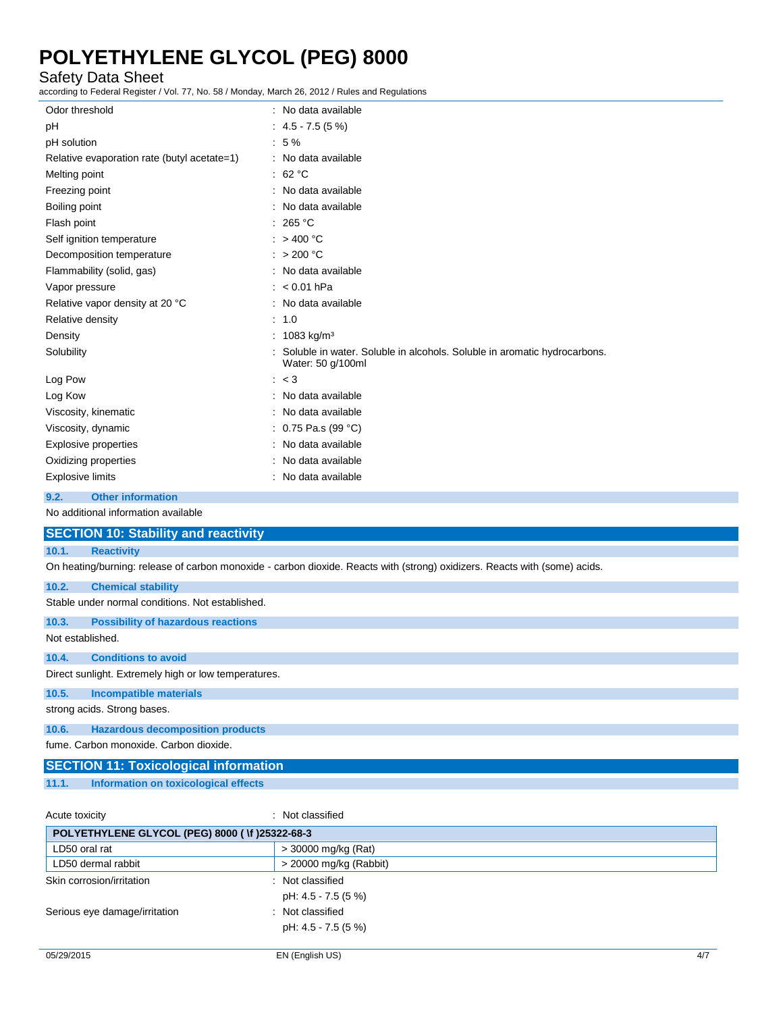## Safety Data Sheet

according to Federal Register / Vol. 77, No. 58 / Monday, March 26, 2012 / Rules and Regulations

| Odor threshold                              | : No data available                                                                           |
|---------------------------------------------|-----------------------------------------------------------------------------------------------|
| pH                                          | $: 4.5 - 7.5(5%)$                                                                             |
| pH solution                                 | :5%                                                                                           |
| Relative evaporation rate (butyl acetate=1) | : No data available                                                                           |
| Melting point                               | : $62 °C$                                                                                     |
| Freezing point                              | No data available                                                                             |
| Boiling point                               | : No data available                                                                           |
| Flash point                                 | : 265 °C                                                                                      |
| Self ignition temperature                   | $:$ > 400 °C                                                                                  |
| Decomposition temperature                   | : $> 200 °C$                                                                                  |
| Flammability (solid, gas)                   | No data available                                                                             |
| Vapor pressure                              | $: < 0.01$ hPa                                                                                |
| Relative vapor density at 20 °C             | : No data available                                                                           |
| Relative density                            | : 1.0                                                                                         |
| Density                                     | : $1083 \text{ kg/m}^3$                                                                       |
| Solubility                                  | Soluble in water. Soluble in alcohols. Soluble in aromatic hydrocarbons.<br>Water: 50 g/100ml |
| Log Pow                                     | : < 3                                                                                         |
| Log Kow                                     | : No data available                                                                           |
| Viscosity, kinematic                        | No data available                                                                             |
| Viscosity, dynamic                          | 0.75 Pa.s (99 °C)                                                                             |
| <b>Explosive properties</b>                 | : No data available                                                                           |
| Oxidizing properties                        | No data available                                                                             |
| <b>Explosive limits</b>                     | : No data available                                                                           |
| <b>Other information</b><br>9.2.            |                                                                                               |
| No additional information available         |                                                                                               |
| <b>SECTION 10: Stability and reactivity</b> |                                                                                               |
| 10.1.<br><b>Reactivity</b>                  |                                                                                               |

On heating/burning: release of carbon monoxide - carbon dioxide. Reacts with (strong) oxidizers. Reacts with (some) acids.

### **10.2. Chemical stability**

Stable under normal conditions. Not established.

**10.3. Possibility of hazardous reactions**

Not established.

#### **10.4. Conditions to avoid**

Direct sunlight. Extremely high or low temperatures.

**10.5. Incompatible materials**

strong acids. Strong bases.

### **10.6. Hazardous decomposition products**

fume. Carbon monoxide. Carbon dioxide.

|       | <b>SECTION 11: Toxicological information</b> |  |  |
|-------|----------------------------------------------|--|--|
| 11.1. | Information on toxicological effects         |  |  |

| Acute toxicity                                 | : Not classified       |
|------------------------------------------------|------------------------|
| POLYETHYLENE GLYCOL (PEG) 8000 (Vf )25322-68-3 |                        |
| LD50 oral rat                                  | > 30000 mg/kg (Rat)    |
| LD50 dermal rabbit                             | > 20000 mg/kg (Rabbit) |
| Skin corrosion/irritation                      | : Not classified       |
|                                                | pH: 4.5 - 7.5 (5 %)    |
| Serious eye damage/irritation                  | : Not classified       |
|                                                | pH: 4.5 - 7.5 (5 %)    |
|                                                |                        |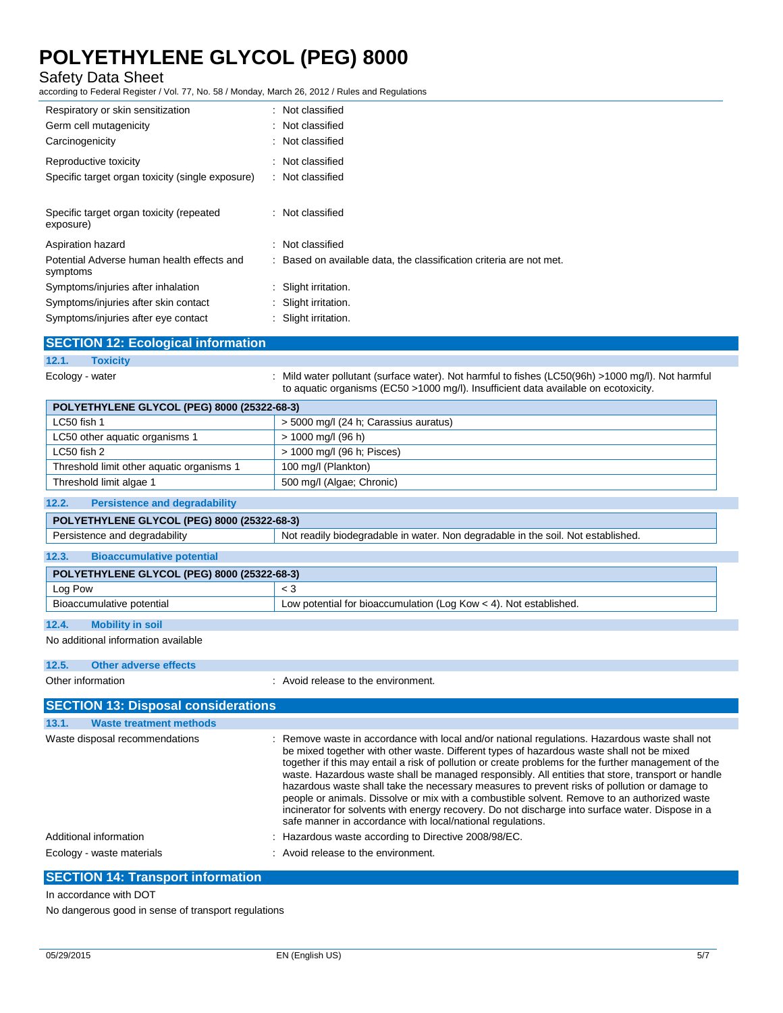## Safety Data Sheet

according to Federal Register / Vol. 77, No. 58 / Monday, March 26, 2012 / Rules and Regulations

| Respiratory or skin sensitization<br>Germ cell mutagenicity | : Not classified<br>: Not classified                                |
|-------------------------------------------------------------|---------------------------------------------------------------------|
| Carcinogenicity                                             | : Not classified                                                    |
| Reproductive toxicity                                       | : Not classified                                                    |
| Specific target organ toxicity (single exposure)            | : Not classified                                                    |
| Specific target organ toxicity (repeated<br>exposure)       | : Not classified                                                    |
| Aspiration hazard                                           | : Not classified                                                    |
| Potential Adverse human health effects and<br>symptoms      | : Based on available data, the classification criteria are not met. |
| Symptoms/injuries after inhalation                          | : Slight irritation.                                                |
| Symptoms/injuries after skin contact                        | : Slight irritation.                                                |
| Symptoms/injuries after eye contact                         | : Slight irritation.                                                |

|                 | <b>SECTION 12: Ecological information</b> |                                                                                                                                                                                          |
|-----------------|-------------------------------------------|------------------------------------------------------------------------------------------------------------------------------------------------------------------------------------------|
| 12.1.           | <b>Toxicity</b>                           |                                                                                                                                                                                          |
| Ecology - water |                                           | : Mild water pollutant (surface water). Not harmful to fishes (LC50(96h) >1000 mq/l). Not harmful<br>to aquatic organisms (EC50 >1000 mg/l). Insufficient data available on ecotoxicity. |

| POLYETHYLENE GLYCOL (PEG) 8000 (25322-68-3) |                                       |  |
|---------------------------------------------|---------------------------------------|--|
| LC50 fish 1                                 | > 5000 mg/l (24 h; Carassius auratus) |  |
| LC50 other aquatic organisms 1              | > 1000 mg/l (96 h)                    |  |
| LC50 fish 2                                 | > 1000 mg/l (96 h; Pisces)            |  |
| Threshold limit other aquatic organisms 1   | 100 mg/l (Plankton)                   |  |
| Threshold limit algae 1                     | 500 mg/l (Algae; Chronic)             |  |

### **12.2. Persistence and degradability**

| POLYETHYLENE GLYCOL (PEG) 8000 (25322-68-3) |                                  |                                                                                  |
|---------------------------------------------|----------------------------------|----------------------------------------------------------------------------------|
| Persistence and degradability               |                                  | Not readily biodegradable in water. Non degradable in the soil. Not established. |
| 12.3                                        | <b>Bioaccumulative potential</b> |                                                                                  |

| POLYETHYLENE GLYCOL (PEG) 8000 (25322-68-3)                              |                                                                     |  |
|--------------------------------------------------------------------------|---------------------------------------------------------------------|--|
| Log Pow                                                                  |                                                                     |  |
| Bioaccumulative potential                                                | Low potential for bioaccumulation (Log Kow $<$ 4). Not established. |  |
| $\begin{array}{c} \n4 \text{ A} \\ \end{array}$<br>- 「我们」「我们的人」「我」「」「」「」 |                                                                     |  |

## **12.4. Mobility in soil**

No additional information available

| 12.5. | Other adverse effects                      |                                                                                                                                                                                                                                                                                                                                                                                                                                                                                                                                                                                                                                                                                                                                                                            |
|-------|--------------------------------------------|----------------------------------------------------------------------------------------------------------------------------------------------------------------------------------------------------------------------------------------------------------------------------------------------------------------------------------------------------------------------------------------------------------------------------------------------------------------------------------------------------------------------------------------------------------------------------------------------------------------------------------------------------------------------------------------------------------------------------------------------------------------------------|
|       | Other information                          | : Avoid release to the environment.                                                                                                                                                                                                                                                                                                                                                                                                                                                                                                                                                                                                                                                                                                                                        |
|       | <b>SECTION 13: Disposal considerations</b> |                                                                                                                                                                                                                                                                                                                                                                                                                                                                                                                                                                                                                                                                                                                                                                            |
| 13.1. | <b>Waste treatment methods</b>             |                                                                                                                                                                                                                                                                                                                                                                                                                                                                                                                                                                                                                                                                                                                                                                            |
|       | Waste disposal recommendations             | : Remove waste in accordance with local and/or national regulations. Hazardous waste shall not<br>be mixed together with other waste. Different types of hazardous waste shall not be mixed<br>together if this may entail a risk of pollution or create problems for the further management of the<br>waste. Hazardous waste shall be managed responsibly. All entities that store, transport or handle<br>hazardous waste shall take the necessary measures to prevent risks of pollution or damage to<br>people or animals. Dissolve or mix with a combustible solvent. Remove to an authorized waste<br>incinerator for solvents with energy recovery. Do not discharge into surface water. Dispose in a<br>safe manner in accordance with local/national regulations. |
|       | Additional information                     | : Hazardous waste according to Directive 2008/98/EC.                                                                                                                                                                                                                                                                                                                                                                                                                                                                                                                                                                                                                                                                                                                       |
|       |                                            | .                                                                                                                                                                                                                                                                                                                                                                                                                                                                                                                                                                                                                                                                                                                                                                          |

### Ecology - waste materials **Ecology** - waste materials **interval** and  $\overline{a}$  and  $\overline{b}$  are  $\overline{c}$  and  $\overline{c}$  are  $\overline{c}$  are  $\overline{c}$  and  $\overline{c}$  are  $\overline{c}$  are  $\overline{c}$  are  $\overline{c}$  are  $\overline{c}$  are  $\overline{c}$  a

## **SECTION 14: Transport information**

In accordance with DOT

No dangerous good in sense of transport regulations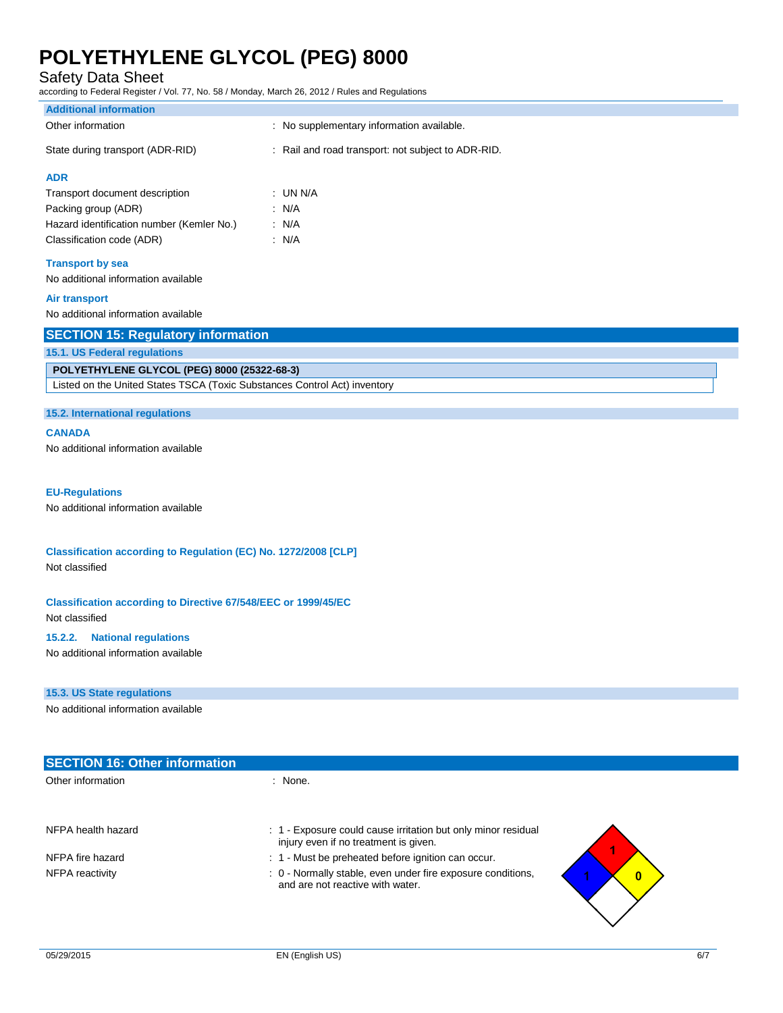Safety Data Sheet

according to Federal Register / Vol. 77, No. 58 / Monday, March 26, 2012 / Rules and Regulations

| according to Federal Register / Vol. 77, No. 58 / Monday, March 26, 2012 / Rules and Regulations |                                                    |  |
|--------------------------------------------------------------------------------------------------|----------------------------------------------------|--|
| <b>Additional information</b>                                                                    |                                                    |  |
| Other information                                                                                | : No supplementary information available.          |  |
| State during transport (ADR-RID)                                                                 | : Rail and road transport: not subject to ADR-RID. |  |
| <b>ADR</b>                                                                                       |                                                    |  |
| Transport document description                                                                   | : UN N/A                                           |  |
| Packing group (ADR)                                                                              | : N/A                                              |  |
| Hazard identification number (Kemler No.)                                                        | : N/A                                              |  |
| Classification code (ADR)                                                                        | : $N/A$                                            |  |
| <b>Transport by sea</b>                                                                          |                                                    |  |
| No additional information available                                                              |                                                    |  |
| <b>Air transport</b>                                                                             |                                                    |  |
| No additional information available                                                              |                                                    |  |
| <b>SECTION 15: Regulatory information</b>                                                        |                                                    |  |
| <b>15.1. US Federal regulations</b>                                                              |                                                    |  |
| POLYETHYLENE GLYCOL (PEG) 8000 (25322-68-3)                                                      |                                                    |  |
| Listed on the United States TSCA (Toxic Substances Control Act) inventory                        |                                                    |  |
|                                                                                                  |                                                    |  |
| 15.2. International regulations                                                                  |                                                    |  |
| <b>CANADA</b>                                                                                    |                                                    |  |
| No additional information available                                                              |                                                    |  |
|                                                                                                  |                                                    |  |
| <b>EU-Regulations</b>                                                                            |                                                    |  |
| No additional information available                                                              |                                                    |  |
|                                                                                                  |                                                    |  |
| Classification according to Regulation (EC) No. 1272/2008 [CLP]                                  |                                                    |  |
| Not classified                                                                                   |                                                    |  |
|                                                                                                  |                                                    |  |

**Classification according to Directive 67/548/EEC or 1999/45/EC** Not classified

### **15.2.2. National regulations**

No additional information available

### **15.3. US State regulations**

No additional information available

| <b>SECTION 16: Other information</b> |                                                                                                             |
|--------------------------------------|-------------------------------------------------------------------------------------------------------------|
| Other information                    | : None.                                                                                                     |
| NFPA health hazard                   | : 1 Exposure could cause irritation but only minor residual<br>injury even if no treatment is given.        |
| NFPA fire hazard                     | : 1 - Must be preheated before ignition can occur.                                                          |
| NFPA reactivity                      | : 0 - Normally stable, even under fire exposure conditions,<br>$\bf{0}$<br>and are not reactive with water. |

 $\mathbf{r}$